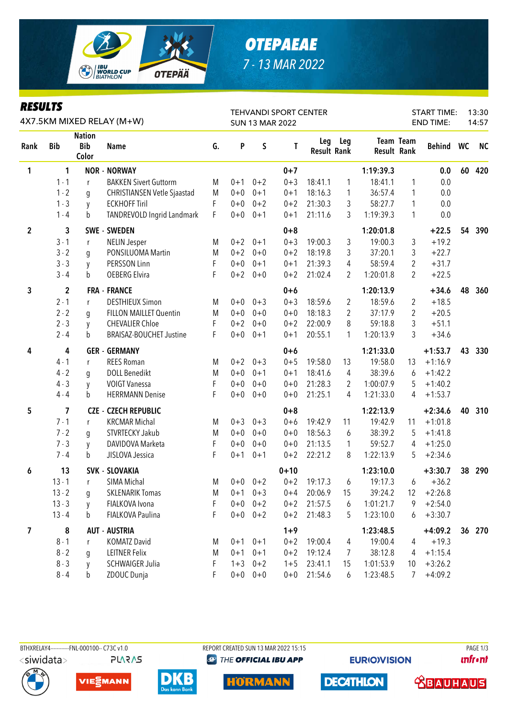

### **OTEPAEAE** 7 - 13 MAR 2022

#### **RESULTS**

| KEYULIY<br>4X7.5KM MIXED RELAY (M+W) |                         |                                      |                                    |    |         |             | <b>TEHVANDI SPORT CENTER</b><br><b>SUN 13 MAR 2022</b> |                           |                | 13:30<br>14:57     |                  |           |    |           |
|--------------------------------------|-------------------------|--------------------------------------|------------------------------------|----|---------|-------------|--------------------------------------------------------|---------------------------|----------------|--------------------|------------------|-----------|----|-----------|
| Rank                                 | <b>Bib</b>              | <b>Nation</b><br><b>Bib</b><br>Color | <b>Name</b>                        | G. | P       | $\sf S$     | T                                                      | Leg<br><b>Result Rank</b> | Leg            | <b>Result Rank</b> | <b>Team Team</b> | Behind WC |    | <b>NC</b> |
| 1                                    | 1                       |                                      | <b>NOR - NORWAY</b>                |    |         |             | $0 + 7$                                                |                           |                | 1:19:39.3          |                  | 0.0       | 60 | 420       |
|                                      | $1 - 1$                 | r                                    | <b>BAKKEN Sivert Guttorm</b>       | M  | $0 + 1$ | $0 + 2$     | $0 + 3$                                                | 18:41.1                   | $\mathbf{1}$   | 18:41.1            | 1                | 0.0       |    |           |
|                                      | $1 - 2$                 | g                                    | <b>CHRISTIANSEN Vetle Sjaastad</b> | M  | $0 + 0$ | $0 + 1$     | $0 + 1$                                                | 18:16.3                   | 1              | 36:57.4            | 1                | 0.0       |    |           |
|                                      | $1 - 3$                 | y                                    | <b>ECKHOFF Tiril</b>               | F  | $0 + 0$ | $0 + 2$     | $0 + 2$                                                | 21:30.3                   | 3              | 58:27.7            | 1                | 0.0       |    |           |
|                                      | $1 - 4$                 | b                                    | TANDREVOLD Ingrid Landmark         | F  | $0 + 0$ | $0 + 1$     | $0 + 1$                                                | 21:11.6                   | 3              | 1:19:39.3          | 1                | 0.0       |    |           |
| $\mathbf{2}$                         | 3                       |                                      | <b>SWE - SWEDEN</b>                |    |         |             | $0 + 8$                                                |                           |                | 1:20:01.8          |                  | $+22.5$   | 54 | 390       |
|                                      | $3 - 1$                 | r                                    | <b>NELIN Jesper</b>                | M  | $0 + 2$ | $0 + 1$     | $0 + 3$                                                | 19:00.3                   | 3              | 19:00.3            | 3                | $+19.2$   |    |           |
|                                      | $3 - 2$                 | g                                    | PONSILUOMA Martin                  | M  | $0 + 2$ | $0 + 0$     | $0 + 2$                                                | 18:19.8                   | 3              | 37:20.1            | 3                | $+22.7$   |    |           |
|                                      | $3 - 3$                 | y                                    | PERSSON Linn                       | F  | $0 + 0$ | $0 + 1$     | $0 + 1$                                                | 21:39.3                   | 4              | 58:59.4            | $\overline{2}$   | $+31.7$   |    |           |
|                                      | $3 - 4$                 | b                                    | <b>OEBERG Elvira</b>               | F  | $0 + 2$ | $0 + 0$     | $0 + 2$                                                | 21:02.4                   | 2              | 1:20:01.8          | $\overline{2}$   | $+22.5$   |    |           |
| 3                                    | $\mathbf{2}$            |                                      | <b>FRA - FRANCE</b>                |    |         |             | $0 + 6$                                                |                           |                | 1:20:13.9          |                  | $+34.6$   | 48 | 360       |
|                                      | $2 - 1$                 | $\mathsf{r}$                         | <b>DESTHIEUX Simon</b>             | M  | $0 + 0$ | $0 + 3$     | $0 + 3$                                                | 18:59.6                   | 2              | 18:59.6            | 2                | $+18.5$   |    |           |
|                                      | $2 - 2$                 | q                                    | FILLON MAILLET Quentin             | M  | $0 + 0$ | $0 + 0$     | $0 + 0$                                                | 18:18.3                   | $\overline{2}$ | 37:17.9            | 2                | $+20.5$   |    |           |
|                                      | $2 - 3$                 | y                                    | <b>CHEVALIER Chloe</b>             | F  | $0 + 2$ | $0 + 0$     | $0 + 2$                                                | 22:00.9                   | 8              | 59:18.8            | 3                | $+51.1$   |    |           |
|                                      | $2 - 4$                 | b                                    | BRAISAZ-BOUCHET Justine            | F  | $0+0$   | $0 + 1$     | $0 + 1$                                                | 20:55.1                   | 1              | 1:20:13.9          | 3                | $+34.6$   |    |           |
| 4                                    | 4                       |                                      | <b>GER - GERMANY</b>               |    |         |             | $0 + 6$                                                |                           |                | 1:21:33.0          |                  | $+1:53.7$ | 43 | 330       |
|                                      | $4 - 1$                 | r                                    | <b>REES Roman</b>                  | M  | $0 + 2$ | $0 + 3$     | $0 + 5$                                                | 19:58.0                   | 13             | 19:58.0            | 13               | $+1:16.9$ |    |           |
|                                      | $4 - 2$                 | g                                    | <b>DOLL Benedikt</b>               | M  | $0 + 0$ | $0 + 1$     | $0 + 1$                                                | 18:41.6                   | 4              | 38:39.6            | 6                | $+1:42.2$ |    |           |
|                                      | $4 - 3$                 | y                                    | <b>VOIGT Vanessa</b>               | F  | $0 + 0$ | $0 + 0$     | $0 + 0$                                                | 21:28.3                   | 2              | 1:00:07.9          | 5                | $+1:40.2$ |    |           |
|                                      | $4 - 4$                 | b                                    | <b>HERRMANN Denise</b>             | F  | $0 + 0$ | $0 + 0$     | $0 + 0$                                                | 21:25.1                   | 4              | 1:21:33.0          | 4                | $+1:53.7$ |    |           |
| 5                                    | $\overline{\mathbf{z}}$ |                                      | <b>CZE - CZECH REPUBLIC</b>        |    |         |             | $0 + 8$                                                |                           |                | 1:22:13.9          |                  | $+2:34.6$ | 40 | 310       |
|                                      | $7 - 1$                 | r                                    | <b>KRCMAR Michal</b>               | M  | $0 + 3$ | $0 + 3$     | $0 + 6$                                                | 19:42.9                   | 11             | 19:42.9            | 11               | $+1:01.8$ |    |           |
|                                      | $7 - 2$                 | g                                    | STVRTECKY Jakub                    | M  | $0 + 0$ | $0 + 0$     | $0 + 0$                                                | 18:56.3                   | 6              | 38:39.2            | 5                | $+1:41.8$ |    |           |
|                                      | $7 - 3$                 | y                                    | DAVIDOVA Marketa                   | F  | $0 + 0$ | $0 + 0$     | $0 + 0$                                                | 21:13.5                   | $\mathbf{1}$   | 59:52.7            | 4                | $+1:25.0$ |    |           |
|                                      | $7 - 4$                 | b                                    | JISLOVA Jessica                    | F  | $0 + 1$ | $0 + 1$     | $0 + 2$                                                | 22:21.2                   | 8              | 1:22:13.9          | 5                | $+2:34.6$ |    |           |
| 6                                    | 13                      |                                      | <b>SVK - SLOVAKIA</b>              |    |         |             | $0 + 10$                                               |                           |                | 1:23:10.0          |                  | $+3:30.7$ | 38 | 290       |
|                                      | $13 - 1$                | r                                    | SIMA Michal                        | M  |         | $0+0$ $0+2$ | $0 + 2$                                                | 19:17.3                   | 6              | 19:17.3            | 6                | $+36.2$   |    |           |
|                                      | $13 - 2$                | g                                    | <b>SKLENARIK Tomas</b>             | M  | $0 + 1$ | $0 + 3$     | $0 + 4$                                                | 20:06.9                   | 15             | 39:24.2            | 12               | $+2:26.8$ |    |           |
|                                      | $13 - 3$                | y                                    | FIALKOVA Ivona                     | F  | $0 + 0$ | $0 + 2$     | $0 + 2$                                                | 21:57.5                   | 6              | 1:01:21.7          | 9                | $+2:54.0$ |    |           |
|                                      | $13 - 4$                | b                                    | FIALKOVA Paulina                   | F  | $0+0$   | $0 + 2$     | $0 + 2$                                                | 21:48.3                   | 5              | 1:23:10.0          | 6                | $+3:30.7$ |    |           |
| 7                                    | 8                       |                                      | <b>AUT - AUSTRIA</b>               |    |         |             | $1 + 9$                                                |                           |                | 1:23:48.5          |                  | $+4:09.2$ |    | 36 270    |
|                                      | $8 - 1$                 | r                                    | <b>KOMATZ David</b>                | M  | $0 + 1$ | $0 + 1$     | $0 + 2$                                                | 19:00.4                   | 4              | 19:00.4            | 4                | $+19.3$   |    |           |
|                                      | $8 - 2$                 | g                                    | <b>LEITNER Felix</b>               | M  | $0 + 1$ | $0 + 1$     | $0 + 2$                                                | 19:12.4                   | 7              | 38:12.8            | 4                | $+1:15.4$ |    |           |
|                                      | $8 - 3$                 | y                                    | <b>SCHWAIGER Julia</b>             | F  | $1 + 3$ | $0 + 2$     | $1 + 5$                                                | 23:41.1                   | 15             | 1:01:53.9          | 10               | $+3:26.2$ |    |           |
|                                      | $8 - 4$                 | b                                    | ZDOUC Dunja                        | F. | $0+0$   | $0 + 0$     | $0+0$                                                  | 21:54.6                   | 6              | 1:23:48.5          | 7                | $+4:09.2$ |    |           |

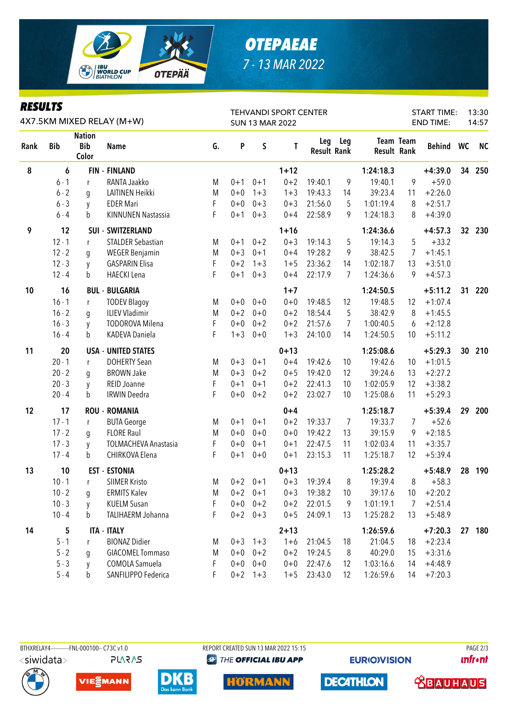

# *OTEPAEAE 7 - 13 MAR 2022*

| <b>KESULIS</b><br>4X7.5KM MIXED RELAY (M+W) |            |                                      |                             |    |         |             | <b>TEHVANDI SPORT CENTER</b><br><b>SUN 13 MAR 2022</b> |                           | 13:30<br><b>START TIME:</b><br><b>END TIME:</b><br>14:57 |                    |                  |               |                 |           |
|---------------------------------------------|------------|--------------------------------------|-----------------------------|----|---------|-------------|--------------------------------------------------------|---------------------------|----------------------------------------------------------|--------------------|------------------|---------------|-----------------|-----------|
| Rank                                        | <b>Bib</b> | <b>Nation</b><br><b>Bib</b><br>Color | <b>Name</b>                 | G. | P       | S           | T                                                      | Leg<br><b>Result Rank</b> | Leg                                                      | <b>Result Rank</b> | <b>Team Team</b> | <b>Behind</b> | WC              | <b>NC</b> |
| 8                                           | 6          |                                      | <b>FIN - FINLAND</b>        |    |         |             | $1 + 12$                                               |                           |                                                          | 1:24:18.3          |                  | $+4:39.0$     | 34              | 250       |
|                                             | $6 - 1$    | r                                    | RANTA Jaakko                | M  | $0 + 1$ | $0 + 1$     | $0 + 2$                                                | 19:40.1                   | 9                                                        | 19:40.1            | 9                | $+59.0$       |                 |           |
|                                             | $6 - 2$    | g                                    | LAITINEN Heikki             | M  | $0 + 0$ | $1 + 3$     | $1 + 3$                                                | 19:43.3                   | 14                                                       | 39:23.4            | 11               | $+2:26.0$     |                 |           |
|                                             | $6 - 3$    | y                                    | <b>EDER Mari</b>            | F  | $0 + 0$ | $0 + 3$     | $0 + 3$                                                | 21:56.0                   | 5                                                        | 1:01:19.4          | 8                | $+2:51.7$     |                 |           |
|                                             | $6 - 4$    | b                                    | <b>KINNUNEN Nastassia</b>   | F  | $0 + 1$ | $0 + 3$     | $0 + 4$                                                | 22:58.9                   | 9                                                        | 1:24:18.3          | 8                | $+4:39.0$     |                 |           |
| 9                                           | 12         |                                      | <b>SUI - SWITZERLAND</b>    |    |         |             | $1 + 16$                                               |                           |                                                          | 1:24:36.6          |                  | $+4:57.3$     | 32 <sub>2</sub> | 230       |
|                                             | $12 - 1$   | r                                    | <b>STALDER Sebastian</b>    | M  | $0 + 1$ | $0 + 2$     | $0 + 3$                                                | 19:14.3                   | 5                                                        | 19:14.3            | 5                | $+33.2$       |                 |           |
|                                             | $12 - 2$   | g                                    | <b>WEGER Benjamin</b>       | M  | $0 + 3$ | $0 + 1$     | $0 + 4$                                                | 19:28.2                   | 9                                                        | 38:42.5            | 7                | $+1:45.1$     |                 |           |
|                                             | $12 - 3$   | y                                    | <b>GASPARIN Elisa</b>       | F  | $0 + 2$ | $1 + 3$     | $1 + 5$                                                | 23:36.2                   | 14                                                       | 1:02:18.7          | 13               | $+3:51.0$     |                 |           |
|                                             | $12 - 4$   | b                                    | <b>HAECKI</b> Lena          | F  | $0 + 1$ | $0 + 3$     | $0 + 4$                                                | 22:17.9                   | 7                                                        | 1:24:36.6          | 9                | $+4:57.3$     |                 |           |
| 10                                          | 16         |                                      | <b>BUL - BULGARIA</b>       |    |         |             | $1 + 7$                                                |                           |                                                          | 1:24:50.5          |                  | $+5:11.2$     | 31              | 220       |
|                                             | $16 - 1$   | r                                    | <b>TODEV Blagoy</b>         | M  | $0 + 0$ | $0 + 0$     | $0 + 0$                                                | 19:48.5                   | 12                                                       | 19:48.5            | 12               | $+1:07.4$     |                 |           |
|                                             | $16 - 2$   | g                                    | <b>ILIEV Vladimir</b>       | M  | $0 + 2$ | $0 + 0$     | $0 + 2$                                                | 18:54.4                   | 5                                                        | 38:42.9            | 8                | $+1:45.5$     |                 |           |
|                                             | $16 - 3$   | y                                    | <b>TODOROVA Milena</b>      | F  | $0 + 0$ | $0 + 2$     | $0 + 2$                                                | 21:57.6                   | 7                                                        | 1:00:40.5          | 6                | $+2:12.8$     |                 |           |
|                                             | $16 - 4$   | b                                    | KADEVA Daniela              | F  | $1 + 3$ | $0 + 0$     | $1 + 3$                                                | 24:10.0                   | 14                                                       | 1:24:50.5          | 10               | $+5:11.2$     |                 |           |
| 11                                          | 20         |                                      | <b>USA - UNITED STATES</b>  |    |         |             | $0 + 13$                                               |                           |                                                          | 1:25:08.6          |                  | $+5:29.3$     | 30              | 210       |
|                                             | $20 - 1$   | r                                    | <b>DOHERTY Sean</b>         | M  | $0 + 3$ | $0 + 1$     | $0 + 4$                                                | 19:42.6                   | 10                                                       | 19:42.6            | 10               | $+1:01.5$     |                 |           |
|                                             | $20 - 2$   | g                                    | <b>BROWN Jake</b>           | M  | $0 + 3$ | $0 + 2$     | $0 + 5$                                                | 19:42.0                   | 12                                                       | 39:24.6            | 13               | $+2:27.2$     |                 |           |
|                                             | $20 - 3$   | y                                    | REID Joanne                 | F  | $0 + 1$ | $0 + 1$     | $0 + 2$                                                | 22:41.3                   | 10                                                       | 1:02:05.9          | 12               | $+3:38.2$     |                 |           |
|                                             | $20 - 4$   | b                                    | <b>IRWIN Deedra</b>         | F  | $0 + 0$ | $0 + 2$     | $0 + 2$                                                | 23:02.7                   | 10                                                       | 1:25:08.6          | 11               | $+5:29.3$     |                 |           |
| 12                                          | 17         |                                      | <b>ROU - ROMANIA</b>        |    |         |             | $0 + 4$                                                |                           |                                                          | 1:25:18.7          |                  | $+5:39.4$     | 29              | 200       |
|                                             | $17 - 1$   | r                                    | <b>BUTA George</b>          | M  | $0 + 1$ | $0 + 1$     | $0 + 2$                                                | 19:33.7                   | 7                                                        | 19:33.7            | 7                | $+52.6$       |                 |           |
|                                             | $17 - 2$   | g                                    | <b>FLORE Raul</b>           | M  | $0 + 0$ | $0 + 0$     | $0 + 0$                                                | 19:42.2                   | 13                                                       | 39:15.9            | 9                | $+2:18.5$     |                 |           |
|                                             | $17 - 3$   | y                                    | <b>TOLMACHEVA Anastasia</b> | F  | $0 + 0$ | $0 + 1$     | $0 + 1$                                                | 22:47.5                   | 11                                                       | 1:02:03.4          | 11               | $+3:35.7$     |                 |           |
|                                             | $17 - 4$   | b                                    | CHIRKOVA Elena              | F  | $0 + 1$ | $0 + 0$     | $0 + 1$                                                | 23:15.3                   | 11                                                       | 1:25:18.7          | 12               | $+5:39.4$     |                 |           |
| 13                                          | 10         |                                      | <b>EST - ESTONIA</b>        |    |         |             | $0 + 13$                                               |                           |                                                          | 1:25:28.2          |                  | $+5:48.9$     | 28              | 190       |
|                                             | $10 - 1$   | r                                    | <b>SIIMER Kristo</b>        | M  |         | $0+2$ 0+1   | $0 + 3$                                                | 19:39.4                   | 8                                                        | 19:39.4            | 8                | $+58.3$       |                 |           |
|                                             | $10 - 2$   | g                                    | <b>ERMITS Kalev</b>         | M  |         | $0+2$ 0+1   | $0 + 3$                                                | 19:38.2                   | 10                                                       | 39:17.6            | 10               | $+2:20.2$     |                 |           |
|                                             | $10 - 3$   | y                                    | <b>KUELM Susan</b>          | F  |         | $0+0$ $0+2$ | $0 + 2$                                                | 22:01.5                   | 9                                                        | 1:01:19.1          | 7                | $+2:51.4$     |                 |           |
|                                             | $10 - 4$   | b                                    | TALIHAERM Johanna           | F  |         | $0+2$ 0+3   | $0 + 5$                                                | 24:09.1                   | 13                                                       | 1:25:28.2          | 13               | $+5:48.9$     |                 |           |
| 14                                          | 5          |                                      | <b>ITA - ITALY</b>          |    |         |             | $2 + 13$                                               |                           |                                                          | 1:26:59.6          |                  | $+7:20.3$     |                 | 27 180    |
|                                             | $5 - 1$    | r                                    | <b>BIONAZ Didier</b>        | M  |         | $0+3$ 1+3   | $1 + 6$                                                | 21:04.5                   | 18                                                       | 21:04.5            | 18               | $+2:23.4$     |                 |           |
|                                             | $5 - 2$    | q                                    | <b>GIACOMEL Tommaso</b>     | M  | $0+0$   | $0 + 2$     | $0 + 2$                                                | 19:24.5                   | 8                                                        | 40:29.0            | 15               | $+3:31.6$     |                 |           |
|                                             | $5 - 3$    | V                                    | COMOLA Samuela              | F  | $0+0$   | $0 + 0$     | $0+0$                                                  | 22:47.6                   | 12                                                       | 1:03:16.6          | 14               | $+4:48.9$     |                 |           |
|                                             | $5 - 4$    | b                                    | SANFILIPPO Federica         | F  |         | $0+2$ 1+3   | $1 + 5$                                                | 23:43.0                   | 12                                                       | 1:26:59.6          | 14               | $+7:20.3$     |                 |           |